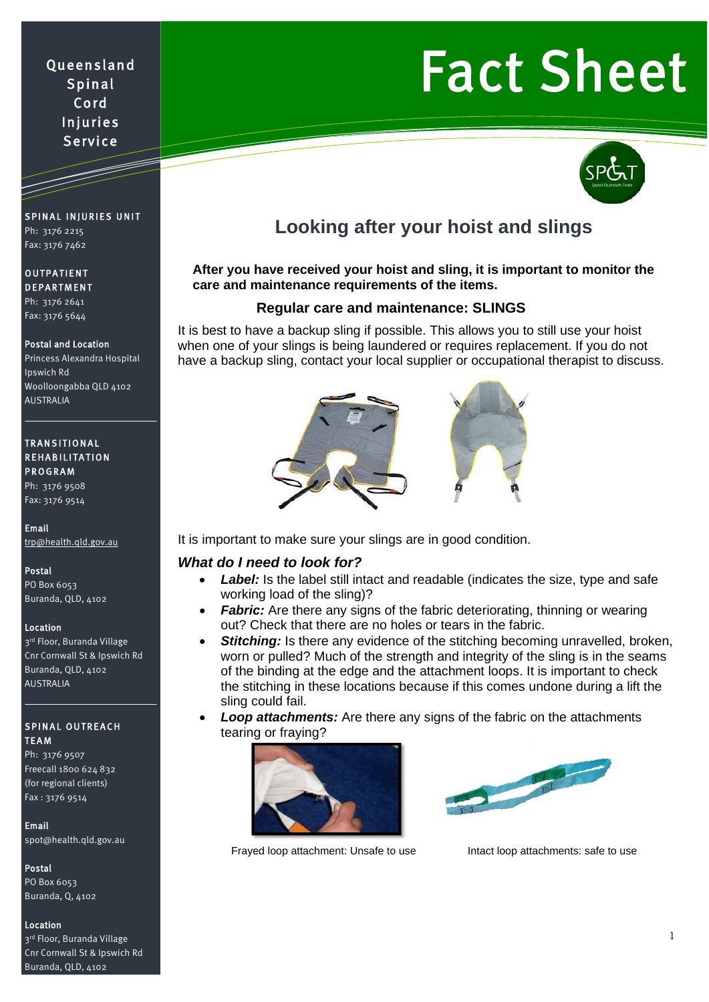# Queensland Spinal Cord Injuries Service

# Fact Sheet



# **Looking after your hoist and slings**

#### **After you have received your hoist and sling, it is important to monitor the care and maintenance requirements of the items.**

#### **Regular care and maintenance: SLINGS**

It is best to have a backup sling if possible. This allows you to still use your hoist when one of your slings is being laundered or requires replacement. If you do not have a backup sling, contact your local supplier or occupational therapist to discuss.



It is important to make sure your slings are in good condition.

#### *What do I need to look for?*

- **Label:** Is the label still intact and readable (indicates the size, type and safe working load of the sling)?
- **Fabric:** Are there any signs of the fabric deteriorating, thinning or wearing out? Check that there are no holes or tears in the fabric.
- **Stitching:** Is there any evidence of the stitching becoming unravelled, broken, worn or pulled? Much of the strength and integrity of the sling is in the seams of the binding at the edge and the attachment loops. It is important to check the stitching in these locations because if this comes undone during a lift the sling could fail.
- *Loop attachments:* Are there any signs of the fabric on the attachments tearing or fraying?





Frayed loop attachment: Unsafe to use Intact loop attachments: safe to use

#### SPINAL INJURIES UNIT Ph: 3176 2215 Fax: 3176 7462

 $\overline{\phantom{a}}$ 

## OUTPATIENT DEPARTMENT

Ph: 3176 2641 Fax: 3176 5644

#### Postal and Location

Princess Alexandra Hospital Ipswich Rd Woolloongabba QLD 4102 AUSTRALIA

#### TRANSITIONAL REHABILITATION PROGRAM

Ph: 3176 9508 Fax: 3176 9514

Email [trp@health.qld.gov.au](mailto:trp@health.qld.gov.au) 

Postal PO Box 6053

Buranda, QLD, 4102

#### Location

3rd Floor, Buranda Village Cnr Cornwall St & Ipswich Rd Buranda, QLD, 4102 AUSTRALIA

#### SPINAL OUTREACH TEAM

Ph: 3176 9507 Freecall 1800 624 832 (for regional clients) Fax : 3176 9514

#### Email

[spot@health.qld.gov.au](mailto:spot@health.qld.gov.au) 

#### Postal

PO Box 6053 Buranda, Q, 4102

#### Location

3rd Floor, Buranda Village Cnr Cornwall St & Ipswich Rd Buranda, QLD, 4102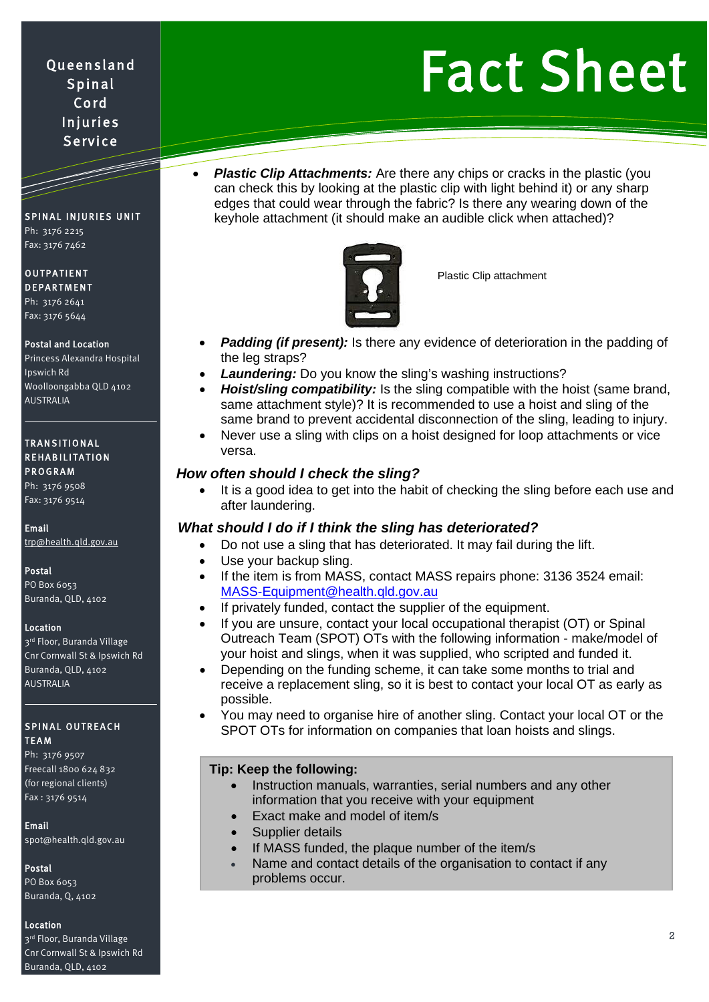# Queensland Spinal Cord Injuries **Service**

# Fact Sheet

SPINAL INJURIES UNIT Ph: 3176 2215 Fax: 3176 7462

|<br>|-<br>|-

#### OUTPATIENT DEPARTMENT

Ph: 3176 2641 Fax: 3176 5644

#### Postal and Location

Princess Alexandra Hospital Ipswich Rd Woolloongabba QLD 4102 AUSTRALIA

#### TRANSITIONAL REHABILITATION PROGRAM

Ph: 3176 9508 Fax: 3176 9514

Email

[trp@health.qld.gov.au](mailto:trp@health.qld.gov.au) 

#### Postal

PO Box 6053 Buranda, QLD, 4102

#### Location

3rd Floor, Buranda Village Cnr Cornwall St & Ipswich Rd Buranda, QLD, 4102 AUSTRALIA

#### SPINAL OUTREACH **TFAM**

Ph: 3176 9507 Freecall 1800 624 832 (for regional clients) Fax : 3176 9514

#### Email

[spot@health.qld.gov.au](mailto:spot@health.qld.gov.au) 

#### Postal

PO Box 6053 Buranda, Q, 4102

#### Location

3rd Floor, Buranda Village Cnr Cornwall St & Ipswich Rd Buranda, QLD, 4102

**Plastic Clip Attachments:** Are there any chips or cracks in the plastic (you can check this by looking at the plastic clip with light behind it) or any sharp edges that could wear through the fabric? Is there any wearing down of the keyhole attachment (it should make an audible click when attached)?



Plastic Clip attachment

- **Padding (if present):** Is there any evidence of deterioration in the padding of the leg straps?
- **Laundering:** Do you know the sling's washing instructions?
- *Hoist/sling compatibility:* Is the sling compatible with the hoist (same brand, same attachment style)? It is recommended to use a hoist and sling of the same brand to prevent accidental disconnection of the sling, leading to injury.
- Never use a sling with clips on a hoist designed for loop attachments or vice versa.

### *How often should I check the sling?*

It is a good idea to get into the habit of checking the sling before each use and after laundering.

#### *What should I do if I think the sling has deteriorated?*

- Do not use a sling that has deteriorated. It may fail during the lift.
- Use your backup sling.
- If the item is from MASS, contact MASS repairs phone: 3136 3524 email: [MASS-Equipment@health.qld.gov.au](mailto:MASS-Equipment@health.qld.gov.au)
- If privately funded, contact the supplier of the equipment.
- If you are unsure, contact your local occupational therapist (OT) or Spinal Outreach Team (SPOT) OTs with the following information - make/model of your hoist and slings, when it was supplied, who scripted and funded it.
- Depending on the funding scheme, it can take some months to trial and receive a replacement sling, so it is best to contact your local OT as early as possible.
- You may need to organise hire of another sling. Contact your local OT or the SPOT OTs for information on companies that loan hoists and slings.

#### **Tip: Keep the following:**

- Instruction manuals, warranties, serial numbers and any other information that you receive with your equipment
- Exact make and model of item/s
- Supplier details
- If MASS funded, the plaque number of the item/s
- Name and contact details of the organisation to contact if any problems occur.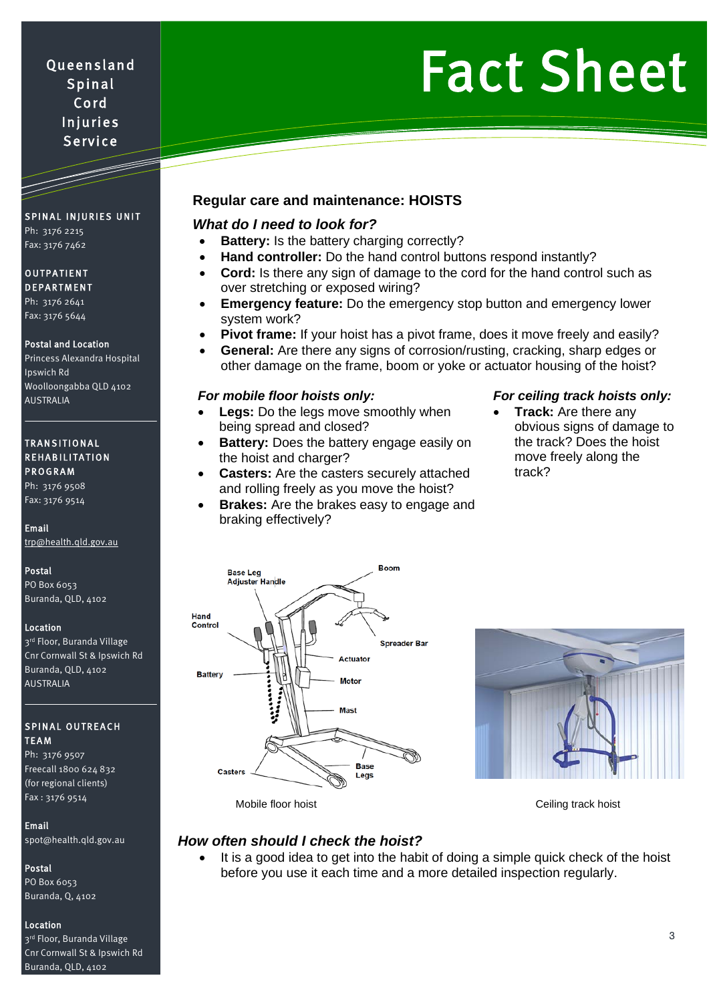# Fact Sheet

Queensland Spinal Cord Injuries Service

# SPINAL INJURIES UNIT

Ph: 3176 2215 Fax: 3176 7462

#### OUTPATIENT DEPARTMENT

Ph: 3176 2641 Fax: 3176 5644

#### Postal and Location

Princess Alexandra Hospital Ipswich Rd Woolloongabba QLD 4102 AUSTRALIA

#### TRANSITIONAL REHABILITATION PROGRAM

Ph: 3176 9508 Fax: 3176 9514

#### Email

[trp@health.qld.gov.au](mailto:trp@health.qld.gov.au) 

#### Postal

PO Box 6053 Buranda, QLD, 4102

#### Location

3rd Floor, Buranda Village Cnr Cornwall St & Ipswich Rd Buranda, QLD, 4102 AUSTRALIA

#### SPINAL OUTREACH TEAM

Ph: 3176 9507 Freecall 1800 624 832 (for regional clients) Fax : 3176 9514

#### Email

[spot@health.qld.gov.au](mailto:spot@health.qld.gov.au) 

#### Postal

PO Box 6053 Buranda, Q, 4102

#### Location

3rd Floor, Buranda Village Cnr Cornwall St & Ipswich Rd Buranda, QLD, 4102

## **Regular care and maintenance: HOISTS**

### *What do I need to look for?*

- **Battery:** Is the battery charging correctly?
- **Hand controller:** Do the hand control buttons respond instantly?
- **Cord:** Is there any sign of damage to the cord for the hand control such as over stretching or exposed wiring?
- **Emergency feature:** Do the emergency stop button and emergency lower system work?
	- **Pivot frame:** If your hoist has a pivot frame, does it move freely and easily?
- **General:** Are there any signs of corrosion/rusting, cracking, sharp edges or other damage on the frame, boom or yoke or actuator housing of the hoist?

- **Legs:** Do the legs move smoothly when being spread and closed?
- **Battery:** Does the battery engage easily on the hoist and charger?
- **Casters:** Are the casters securely attached and rolling freely as you move the hoist?
- **Brakes:** Are the brakes easy to engage and braking effectively?

### *For mobile floor hoists only: For ceiling track hoists only:*

**Track:** Are there any obvious signs of damage to the track? Does the hoist move freely along the track?





Mobile floor hoist Ceiling track hoist Ceiling track hoist

### *How often should I check the hoist?*

It is a good idea to get into the habit of doing a simple quick check of the hoist before you use it each time and a more detailed inspection regularly.